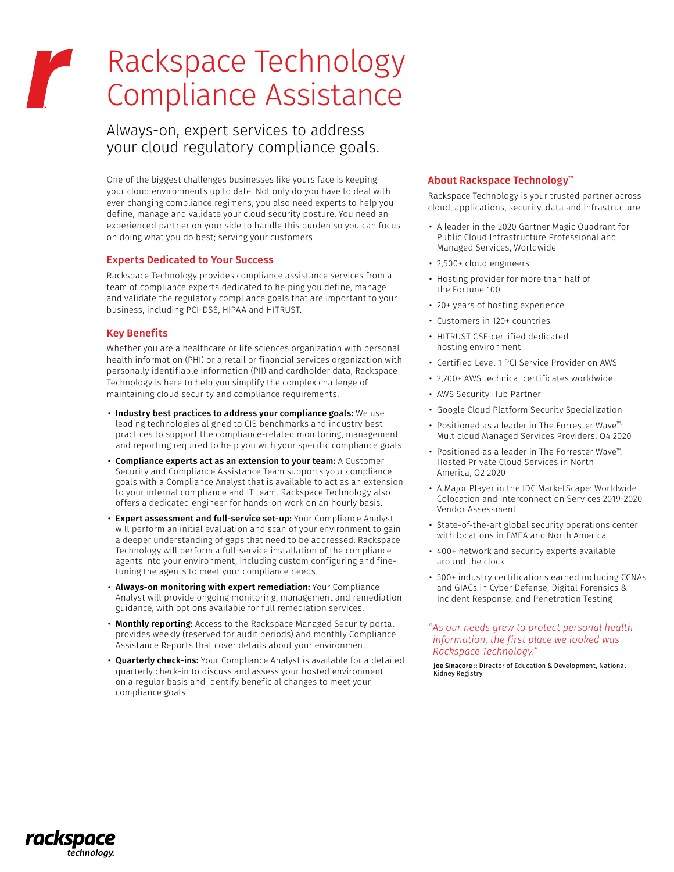# Rackspace Technology Compliance Assistance

Always-on, expert services to address your cloud regulatory compliance goals.

One of the biggest challenges businesses like yours face is keeping your cloud environments up to date. Not only do you have to deal with ever-changing compliance regimens, you also need experts to help you define, manage and validate your cloud security posture. You need an experienced partner on your side to handle this burden so you can focus on doing what you do best; serving your customers.

#### Experts Dedicated to Your Success

Rackspace Technology provides compliance assistance services from a team of compliance experts dedicated to helping you define, manage and validate the regulatory compliance goals that are important to your business, including PCI-DSS, HIPAA and HITRUST.

### Key Benefits

rackspad

technology

Whether you are a healthcare or life sciences organization with personal health information (PHI) or a retail or financial services organization with personally identifiable information (PII) and cardholder data, Rackspace Technology is here to help you simplify the complex challenge of maintaining cloud security and compliance requirements.

- Industry best practices to address your compliance goals: We use leading technologies aligned to CIS benchmarks and industry best practices to support the compliance-related monitoring, management and reporting required to help you with your specific compliance goals.
- Compliance experts act as an extension to your team: A Customer Security and Compliance Assistance Team supports your compliance goals with a Compliance Analyst that is available to act as an extension to your internal compliance and IT team. Rackspace Technology also offers a dedicated engineer for hands-on work on an hourly basis.
- Expert assessment and full-service set-up: Your Compliance Analyst will perform an initial evaluation and scan of your environment to gain a deeper understanding of gaps that need to be addressed. Rackspace Technology will perform a full-service installation of the compliance agents into your environment, including custom configuring and finetuning the agents to meet your compliance needs.
- Always-on monitoring with expert remediation: Your Compliance Analyst will provide ongoing monitoring, management and remediation guidance, with options available for full remediation services.
- Monthly reporting: Access to the Rackspace Managed Security portal provides weekly (reserved for audit periods) and monthly Compliance Assistance Reports that cover details about your environment.
- Quarterly check-ins: Your Compliance Analyst is available for a detailed quarterly check-in to discuss and assess your hosted environment on a regular basis and identify beneficial changes to meet your compliance goals.

# About Rackspace Technology™

Rackspace Technology is your trusted partner across cloud, applications, security, data and infrastructure.

- A leader in the 2020 Gartner Magic Quadrant for Public Cloud Infrastructure Professional and Managed Services, Worldwide
- 2,500+ cloud engineers
- Hosting provider for more than half of the Fortune 100
- 20+ years of hosting experience
- Customers in 120+ countries
- HITRUST CSF-certified dedicated hosting environment
- Certified Level 1 PCI Service Provider on AWS
- 2,700+ AWS technical certificates worldwide
- AWS Security Hub Partner
- Google Cloud Platform Security Specialization
- Positioned as a leader in The Forrester Wave™: Multicloud Managed Services Providers, Q4 2020
- Positioned as a leader in The Forrester Wave™: Hosted Private Cloud Services in North America, Q2 2020
- A Major Player in the IDC MarketScape: Worldwide Colocation and Interconnection Services 2019-2020 Vendor Assessment
- State-of-the-art global security operations center with locations in EMEA and North America
- 400+ network and security experts available around the clock
- 500+ industry certifications earned including CCNAs and GIACs in Cyber Defense, Digital Forensics & Incident Response, and Penetration Testing

#### *"As our needs grew to protect personal health information, the first place we looked was Rackspace Technology."*

Joe Sinacore :: Director of Education & Development, National Kidney Registry